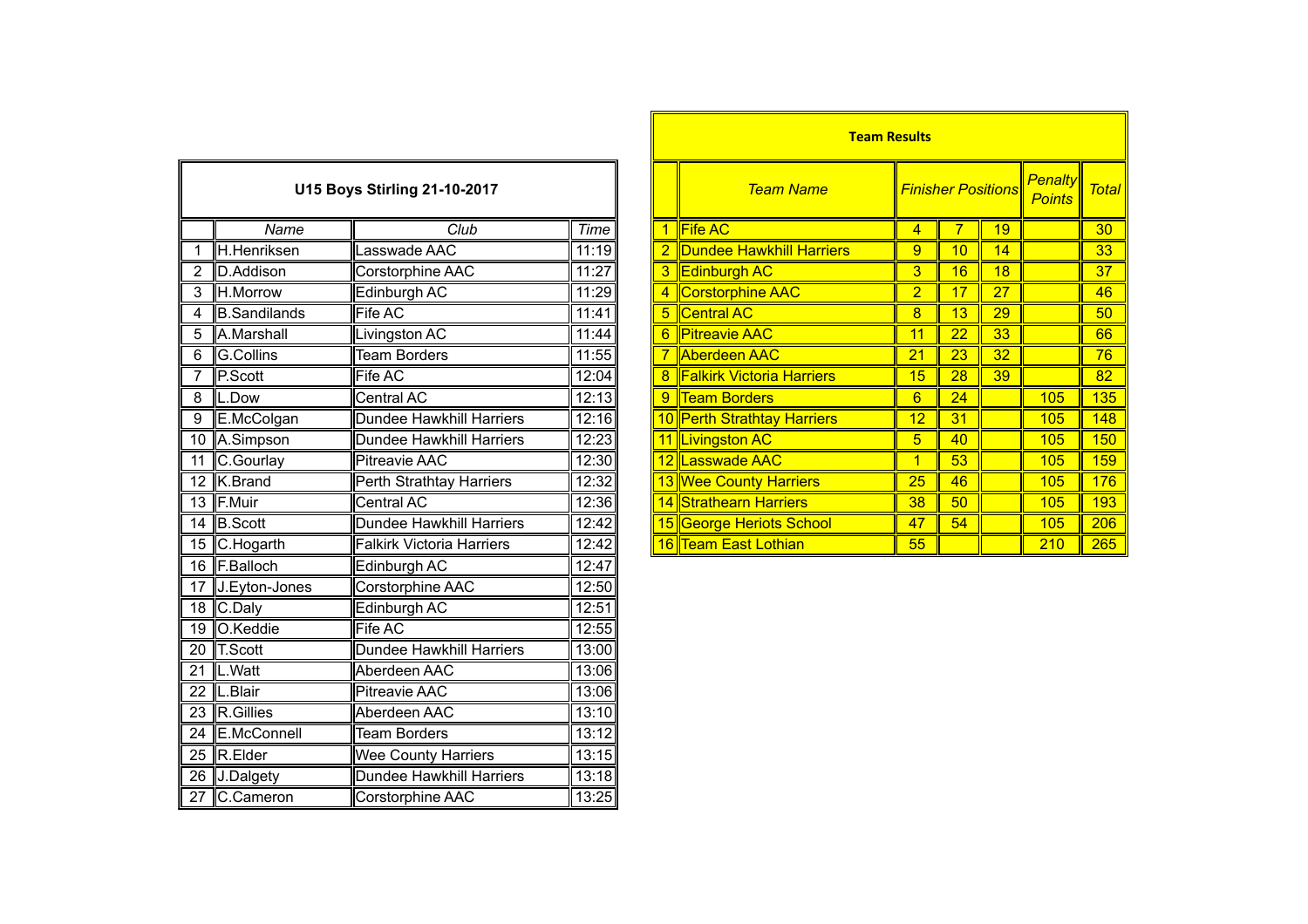| <b>U15 Boys Stirling 21-10-2017</b> |                     |                                  |       |  |  |  |  |
|-------------------------------------|---------------------|----------------------------------|-------|--|--|--|--|
|                                     | Name                | Club                             | Time  |  |  |  |  |
| $\overline{1}$                      | H.Henriksen         | Lasswade AAC                     | 11:19 |  |  |  |  |
| $\overline{2}$                      | D.Addison           | Corstorphine AAC                 | 11:27 |  |  |  |  |
| $\overline{3}$                      | H.Morrow            | Edinburgh AC                     | 11:29 |  |  |  |  |
| 4                                   | <b>B.Sandilands</b> | <b>Fife AC</b>                   | 11:41 |  |  |  |  |
| 5                                   | A.Marshall          | Livingston AC                    | 11:44 |  |  |  |  |
| 6                                   | <b>G.Collins</b>    | <b>Team Borders</b>              | 11:55 |  |  |  |  |
| 7                                   | P.Scott             | <b>Fife AC</b>                   | 12:04 |  |  |  |  |
| 8                                   | L.Dow               | <b>Central AC</b>                | 12:13 |  |  |  |  |
| 9                                   | E.McColgan          | Dundee Hawkhill Harriers         | 12:16 |  |  |  |  |
| 10                                  | A.Simpson           | <b>Dundee Hawkhill Harriers</b>  | 12:23 |  |  |  |  |
| 11                                  | C.Gourlay           | <b>Pitreavie AAC</b>             | 12:30 |  |  |  |  |
| 12                                  | K.Brand             | Perth Strathtay Harriers         | 12:32 |  |  |  |  |
| $\overline{13}$                     | F.Muir              | <b>Central AC</b>                | 12:36 |  |  |  |  |
| $\overline{14}$                     | <b>B.Scott</b>      | <b>Dundee Hawkhill Harriers</b>  | 12:42 |  |  |  |  |
| $\overline{15}$                     | C.Hogarth           | <b>Falkirk Victoria Harriers</b> | 12:42 |  |  |  |  |
| $\overline{16}$                     | F.Balloch           | Edinburgh AC                     | 12:47 |  |  |  |  |
| $\overline{17}$                     | J.Eyton-Jones       | <b>Corstorphine AAC</b>          | 12:50 |  |  |  |  |
| 18                                  | C.Daly              | Edinburgh AC                     | 12:51 |  |  |  |  |
| $\overline{19}$                     | O.Keddie            | <b>Fife AC</b>                   | 12:55 |  |  |  |  |
| 20                                  | <b>T.Scott</b>      | <b>Dundee Hawkhill Harriers</b>  | 13:00 |  |  |  |  |
| $\overline{21}$                     | L.Watt              | Aberdeen AAC                     | 13:06 |  |  |  |  |
| 22                                  | L.Blair             | <b>Pitreavie AAC</b>             | 13:06 |  |  |  |  |
| 23                                  | R.Gillies           | Aberdeen AAC                     | 13:10 |  |  |  |  |
| $\overline{24}$                     | E.McConnell         | <b>Team Borders</b>              | 13:12 |  |  |  |  |
| $\overline{25}$                     | R.Elder             | Wee County Harriers              | 13:15 |  |  |  |  |
| $\overline{26}$                     | J.Dalgety           | <b>Dundee Hawkhill Harriers</b>  | 13:18 |  |  |  |  |
| $\overline{27}$                     | C.Cameron           | Corstorphine AAC                 | 13:25 |  |  |  |  |

|                |                     |                                     |             |   | <b>Team Results</b>                                  |                |                           |    |                                 |       |
|----------------|---------------------|-------------------------------------|-------------|---|------------------------------------------------------|----------------|---------------------------|----|---------------------------------|-------|
|                |                     | <b>U15 Boys Stirling 21-10-2017</b> |             |   | <b>Team Name</b>                                     |                | <b>Finisher Positions</b> |    | <b>Penalty</b><br><b>Points</b> | Total |
|                | Name                | Club                                | <b>Time</b> |   | $\left\Vert \mathsf{Fife}\, \mathsf{AC} \right\Vert$ | 4              |                           | 19 |                                 | 30    |
|                | H.Henriksen         | Lasswade AAC                        | 11:19       |   | <b>Dundee Hawkhill Harriers</b>                      | 9              | 10                        | 14 |                                 | 33    |
|                | <b>ID.Addison</b>   | Corstorphine AAC                    | 11:27       |   | <b>Edinburgh AC</b>                                  | 3              | 16                        | 18 |                                 | 37    |
| 3              | H.Morrow            | Edinburgh AC                        | 11:29       |   | Corstorphine AAC                                     | $\overline{2}$ | 17                        | 27 |                                 | 46    |
| 4              | <b>B.Sandilands</b> | <b>Fife AC</b>                      | 11:41       | 5 | <b>Central AC</b>                                    | 8              | 13                        | 29 |                                 | 50    |
| 5              | A.Marshall          | Livingston AC                       | 11:44       | 6 | <b>Pitreavie AAC</b>                                 | 11             | 22                        | 33 |                                 | 66    |
| $\,6$          | G.Collins           | <b>Team Borders</b>                 | 11:55       |   | Aberdeen AAC                                         | 21             | 23                        | 32 |                                 | 76    |
|                | P.Scott             | Fife AC                             | 12:04       |   | <b>Falkirk Victoria Harriers</b>                     | 15             | 28                        | 39 |                                 | 82    |
| 8              | L.Dow               | Central AC                          | 12:13       | 9 | <b>Team Borders</b>                                  | 6              | 24                        |    | 105                             | 135   |
| $\overline{9}$ | E.McColgan          | Dundee Hawkhill Harriers            | 12:16       |   | 10 Perth Strathtay Harriers                          | 12             | 31                        |    | 105                             | 148   |
|                | 10 A.Simpson        | Dundee Hawkhill Harriers            | 12:23       |   | 11 Livingston AC                                     | 5              | 40                        |    | 105                             | 150   |
| 11             | C.Gourlay           | <b>Pitreavie AAC</b>                | 12:30       |   | 12 Lasswade AAC                                      |                | 53                        |    | 105                             | 159   |
|                | 12 K.Brand          | Perth Strathtay Harriers            | 12:32       |   | 13 Wee County Harriers                               | 25             | 46                        |    | 105                             | 176   |
|                | 13 F.Muir           | Central AC                          | 12:36       |   | 14 Strathearn Harriers                               | 38             | 50                        |    | 105                             | 193   |
|                | 14 B.Scott          | Dundee Hawkhill Harriers            | 12:42       |   | 15 George Heriots School                             | 47             | 54                        |    | 105                             | 206   |
|                | 15 C.Hogarth        | <b>Falkirk Victoria Harriers</b>    | 12:42       |   | 16 Team East Lothian                                 | 55             |                           |    | 210                             | 265   |
|                |                     |                                     |             |   |                                                      |                |                           |    |                                 |       |